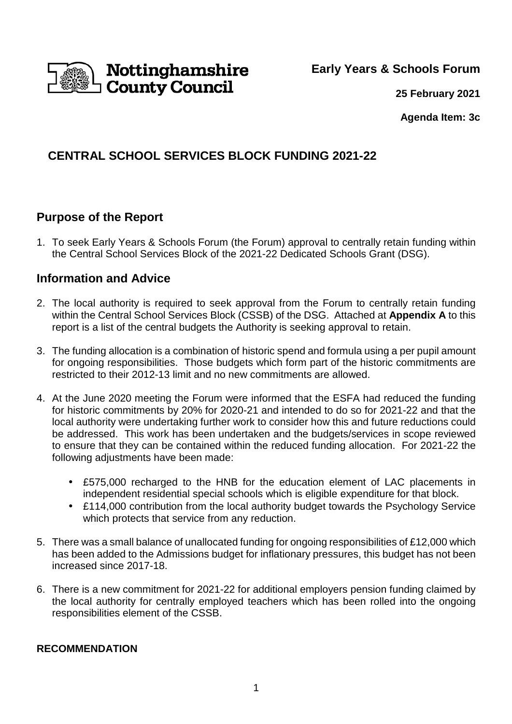

**Early Years & Schools Forum**

**25 February 2021**

**Agenda Item: 3c**

## **CENTRAL SCHOOL SERVICES BLOCK FUNDING 2021-22**

## **Purpose of the Report**

1. To seek Early Years & Schools Forum (the Forum) approval to centrally retain funding within the Central School Services Block of the 2021-22 Dedicated Schools Grant (DSG).

## **Information and Advice**

- 2. The local authority is required to seek approval from the Forum to centrally retain funding within the Central School Services Block (CSSB) of the DSG. Attached at **Appendix A** to this report is a list of the central budgets the Authority is seeking approval to retain.
- 3. The funding allocation is a combination of historic spend and formula using a per pupil amount for ongoing responsibilities. Those budgets which form part of the historic commitments are restricted to their 2012-13 limit and no new commitments are allowed.
- 4. At the June 2020 meeting the Forum were informed that the ESFA had reduced the funding for historic commitments by 20% for 2020-21 and intended to do so for 2021-22 and that the local authority were undertaking further work to consider how this and future reductions could be addressed. This work has been undertaken and the budgets/services in scope reviewed to ensure that they can be contained within the reduced funding allocation. For 2021-22 the following adjustments have been made:
	- £575,000 recharged to the HNB for the education element of LAC placements in independent residential special schools which is eligible expenditure for that block.
	- £114,000 contribution from the local authority budget towards the Psychology Service which protects that service from any reduction.
- 5. There was a small balance of unallocated funding for ongoing responsibilities of £12,000 which has been added to the Admissions budget for inflationary pressures, this budget has not been increased since 2017-18.
- 6. There is a new commitment for 2021-22 for additional employers pension funding claimed by the local authority for centrally employed teachers which has been rolled into the ongoing responsibilities element of the CSSB.

### **RECOMMENDATION**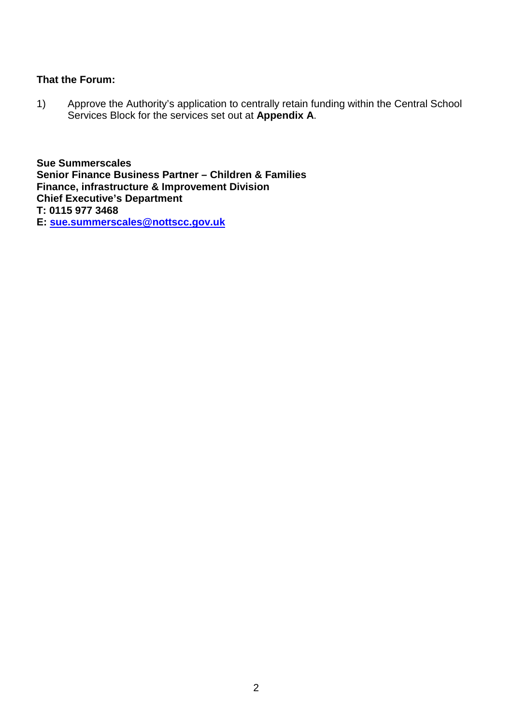### **That the Forum:**

1) Approve the Authority's application to centrally retain funding within the Central School Services Block for the services set out at **Appendix A**.

**Sue Summerscales Senior Finance Business Partner – Children & Families Finance, infrastructure & Improvement Division Chief Executive's Department T: 0115 977 3468 E: sue.summerscales@nottscc.gov.uk**